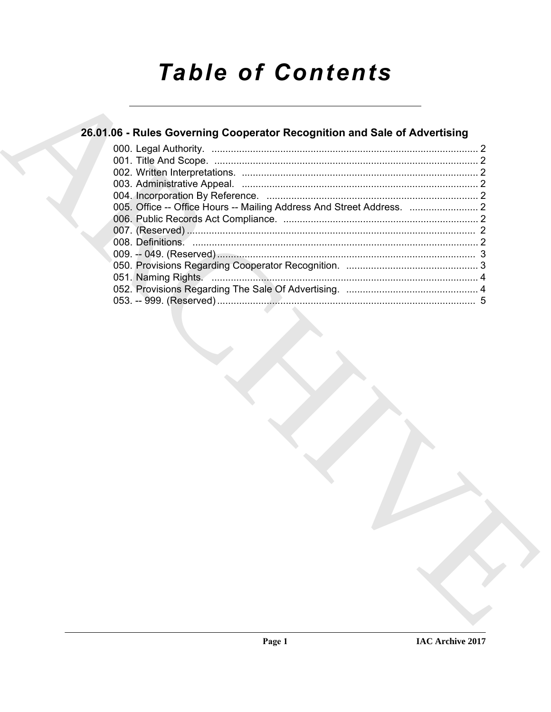# **Table of Contents**

# 26.01.06 - Rules Governing Cooperator Recognition and Sale of Advertising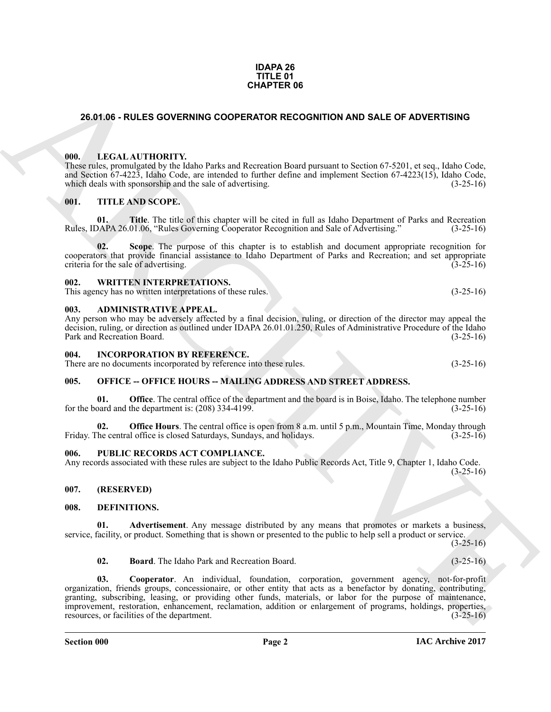#### **IDAPA 26 TITLE 01 CHAPTER 06**

#### <span id="page-1-0"></span>**26.01.06 - RULES GOVERNING COOPERATOR RECOGNITION AND SALE OF ADVERTISING**

#### <span id="page-1-1"></span>**000. LEGAL AUTHORITY.**

These rules, promulgated by the Idaho Parks and Recreation Board pursuant to Section 67-5201, et seq., Idaho Code, and Section 67-4223, Idaho Code, are intended to further define and implement Section 67-4223(15), Idaho Code, which deals with sponsorship and the sale of advertising. (3-25-16)

#### <span id="page-1-2"></span>**001. TITLE AND SCOPE.**

**01. Title**. The title of this chapter will be cited in full as Idaho Department of Parks and Recreation DAPA 26.01.06, "Rules Governing Cooperator Recognition and Sale of Advertising." (3-25-16) Rules, IDAPA 26.01.06, "Rules Governing Cooperator Recognition and Sale of Advertising."

**02. Scope**. The purpose of this chapter is to establish and document appropriate recognition for cooperators that provide financial assistance to Idaho Department of Parks and Recreation; and set appropriate criteria for the sale of advertising. (3-25-16)

#### <span id="page-1-3"></span>**002. WRITTEN INTERPRETATIONS.**

This agency has no written interpretations of these rules. (3-25-16)

#### <span id="page-1-4"></span>**003. ADMINISTRATIVE APPEAL.**

Any person who may be adversely affected by a final decision, ruling, or direction of the director may appeal the decision, ruling, or direction as outlined under IDAPA 26.01.01.250, Rules of Administrative Procedure of the Idaho Park and Recreation Board. (3-25-16)

#### <span id="page-1-5"></span>**004. INCORPORATION BY REFERENCE.**

There are no documents incorporated by reference into these rules. (3-25-16)

#### <span id="page-1-6"></span>005. OFFICE -- OFFICE HOURS -- MAILING ADDRESS AND STREET ADDRESS.

**01. Office**. The central office of the department and the board is in Boise, Idaho. The telephone number oard and the department is: (208) 334-4199. (3-25-16) for the board and the department is:  $(208)$  334-4199.

**02. Office Hours**. The central office is open from 8 a.m. until 5 p.m., Mountain Time, Monday through the central office is closed Saturdays, Sundays, and holidays. (3-25-16) Friday. The central office is closed Saturdays, Sundays, and holidays.

#### <span id="page-1-7"></span>PUBLIC RECORDS ACT COMPLIANCE.

Any records associated with these rules are subject to the Idaho Public Records Act, Title 9, Chapter 1, Idaho Code.  $(3-25-16)$ 

#### <span id="page-1-8"></span>**007. (RESERVED)**

#### <span id="page-1-10"></span><span id="page-1-9"></span>**008. DEFINITIONS.**

**01. Advertisement**. Any message distributed by any means that promotes or markets a business, service, facility, or product. Something that is shown or presented to the public to help sell a product or service.

 $(3-25-16)$ 

<span id="page-1-13"></span><span id="page-1-12"></span><span id="page-1-11"></span>**02. Board**. The Idaho Park and Recreation Board. (3-25-16)

**CHAPTER OF**<br>
26.91.06 - RULES OVERNING COORENATOR RECOONITION AND SALE OF ADVERTISING<br>
10. LECAL AUTHORITY, the Pack and Recession Dent present to Section 57.520, et var. Habe Cate<br>
10. LECAL AUTHORITY, the Pack of the c **03. Cooperator**. An individual, foundation, corporation, government agency, not-for-profit organization, friends groups, concessionaire, or other entity that acts as a benefactor by donating, contributing, granting, subscribing, leasing, or providing other funds, materials, or labor for the purpose of maintenance, improvement, restoration, enhancement, reclamation, addition or enlargement of programs, holdings, properties, resources, or facilities of the department.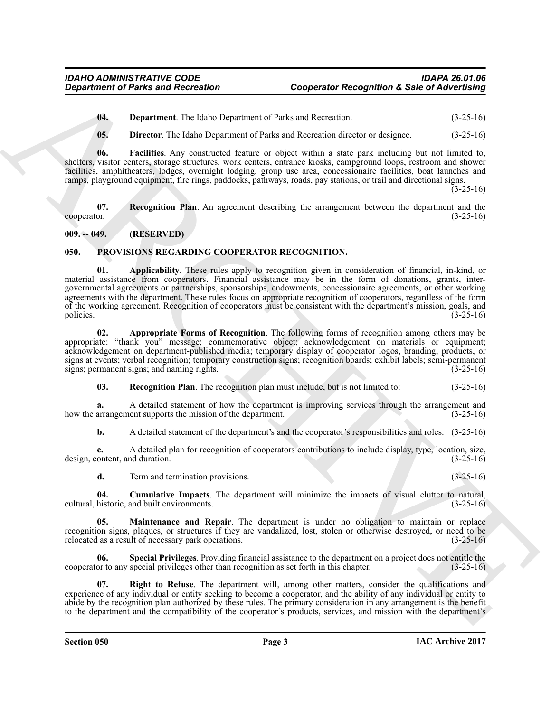<span id="page-2-2"></span>**04. Department**. The Idaho Department of Parks and Recreation. (3-25-16)

<span id="page-2-4"></span><span id="page-2-3"></span>**05. Director**. The Idaho Department of Parks and Recreation director or designee. (3-25-16)

**06. Facilities**. Any constructed feature or object within a state park including but not limited to, shelters, visitor centers, storage structures, work centers, entrance kiosks, campground loops, restroom and shower facilities, amphitheaters, lodges, overnight lodging, group use area, concessionaire facilities, boat launches and ramps, playground equipment, fire rings, paddocks, pathways, roads, pay stations, or trail and directional signs.

 $(3-25-16)$ 

<span id="page-2-5"></span>**07.** Recognition Plan. An agreement describing the arrangement between the department and the cooperator. (3-25-16)  $c\infty$  cooperator.  $(3-25-16)$ 

#### <span id="page-2-0"></span>**009. -- 049. (RESERVED)**

#### <span id="page-2-7"></span><span id="page-2-6"></span><span id="page-2-1"></span>**050. PROVISIONS REGARDING COOPERATOR RECOGNITION.**

**Constrainer of Parks and Recreation**<br> **Constrainer Constrainer Constrainer (a)**<br> **Constrainer Constrainer Constrainer Constrainer (a)**<br> **Constrainer Constrainer Constrainer Constrainer Constrainer (b)**<br> **Constrainer Cons 01. Applicability**. These rules apply to recognition given in consideration of financial, in-kind, or material assistance from cooperators. Financial assistance may be in the form of donations, grants, intergovernmental agreements or partnerships, sponsorships, endowments, concessionaire agreements, or other working agreements with the department. These rules focus on appropriate recognition of cooperators, regardless of the form of the working agreement. Recognition of cooperators must be consistent with the department's mission, goals, and policies. (3-25-16) policies. (3-25-16)

<span id="page-2-8"></span>**02. Appropriate Forms of Recognition**. The following forms of recognition among others may be appropriate: "thank you" message; commemorative object; acknowledgement on materials or equipment; acknowledgement on department-published media; temporary display of cooperator logos, branding, products, or signs at events; verbal recognition; temporary construction signs; recognition boards; exhibit labels; semi-permanent signs; and naming rights. (3-25-16) signs; permanent signs; and naming rights.

<span id="page-2-11"></span>**03. Recognition Plan**. The recognition plan must include, but is not limited to: (3-25-16)

**a.** A detailed statement of how the department is improving services through the arrangement and arrangement supports the mission of the department. (3-25-16) how the arrangement supports the mission of the department.

**b.** A detailed statement of the department's and the cooperator's responsibilities and roles.  $(3-25-16)$ 

**c.** A detailed plan for recognition of cooperators contributions to include display, type, location, size, ontent, and duration. (3-25-16) design, content, and duration.

<span id="page-2-10"></span><span id="page-2-9"></span>**d.** Term and termination provisions. (3-25-16)

**04.** Cumulative Impacts. The department will minimize the impacts of visual clutter to natural, historic, and built environments. (3-25-16) cultural, historic, and built environments.

**05. Maintenance and Repair**. The department is under no obligation to maintain or replace recognition signs, plaques, or structures if they are vandalized, lost, stolen or otherwise destroyed, or need to be relocated as a result of necessary park operations. (3-25-16) relocated as a result of necessary park operations.

<span id="page-2-13"></span>**06. Special Privileges**. Providing financial assistance to the department on a project does not entitle the cooperator to any special privileges other than recognition as set forth in this chapter. (3-25-16)

<span id="page-2-12"></span>**07. Right to Refuse**. The department will, among other matters, consider the qualifications and experience of any individual or entity seeking to become a cooperator, and the ability of any individual or entity to abide by the recognition plan authorized by these rules. The primary consideration in any arrangement is the benefit to the department and the compatibility of the cooperator's products, services, and mission with the department's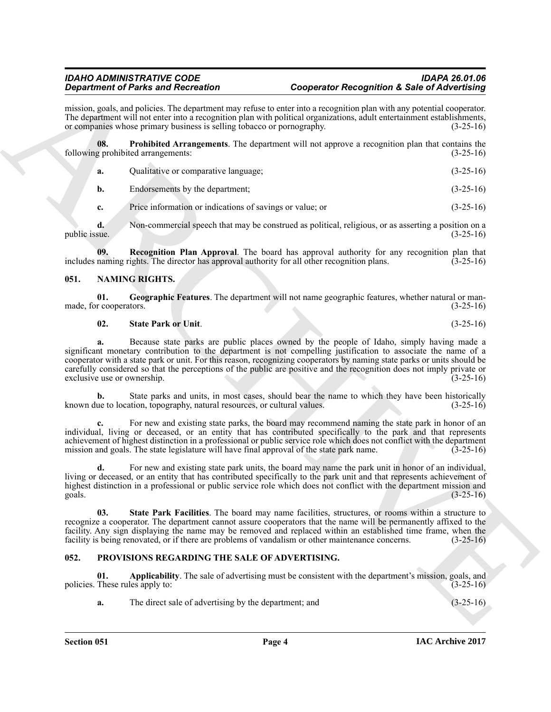mission, goals, and policies. The department may refuse to enter into a recognition plan with any potential cooperator. The department will not enter into a recognition plan with political organizations, adult entertainment establishments, or companies whose primary business is selling tobacco or pornography. (3-25-16)

**08. Prohibited Arrangements**. The department will not approve a recognition plan that contains the following prohibited arrangements: (3-25-16)

<span id="page-3-6"></span>

| а. | Qualitative or comparative language; | $(3-25-16)$ |
|----|--------------------------------------|-------------|
|    | Endorsements by the department;      | $(3-25-16)$ |

<span id="page-3-7"></span>**c.** Price information or indications of savings or value; or (3-25-16)

**d.** Non-commercial speech that may be construed as political, religious, or as asserting a position on a public issue.  $(3-25-16)$ 

**09. Recognition Plan Approval**. The board has approval authority for any recognition plan that naming rights. The director has approval authority for all other recognition plans. (3-25-16) includes naming rights. The director has approval authority for all other recognition plans.

#### <span id="page-3-2"></span><span id="page-3-0"></span>**051. NAMING RIGHTS.**

**01.** Geographic Features. The department will not name geographic features, whether natural or man-<br>r cooperators. (3-25-16) made, for cooperators.

### <span id="page-3-5"></span><span id="page-3-3"></span>**02. State Park or Unit**. (3-25-16)

**Experiment of Photos and Recording to the system and Solution of Solution Construction Construction Construction Construction Construction Construction Construction Construction Construction Construction Construction Con a.** Because state parks are public places owned by the people of Idaho, simply having made a significant monetary contribution to the department is not compelling justification to associate the name of a cooperator with a state park or unit. For this reason, recognizing cooperators by naming state parks or units should be carefully considered so that the perceptions of the public are positive and the recognition does not imply private or exclusive use or ownership. (3-25-16)

**b.** State parks and units, in most cases, should bear the name to which they have been historically known due to location, topography, natural resources, or cultural values. (3-25-16)

**c.** For new and existing state parks, the board may recommend naming the state park in honor of an individual, living or deceased, or an entity that has contributed specifically to the park and that represents achievement of highest distinction in a professional or public service role which does not conflict with the department mission and goals. The state legislature will have final approval of the state park name. (3-25-16)

**d.** For new and existing state park units, the board may name the park unit in honor of an individual, living or deceased, or an entity that has contributed specifically to the park unit and that represents achievement of highest distinction in a professional or public service role which does not conflict with the department mission and goals. (3-25-16) goals.  $(3-25-16)$ 

<span id="page-3-4"></span>**03. State Park Facilities**. The board may name facilities, structures, or rooms within a structure to recognize a cooperator. The department cannot assure cooperators that the name will be permanently affixed to the facility. Any sign displaying the name may be removed and replaced within an established time frame, when the facility is being renovated, or if there are problems of vandalism or other maintenance concerns. (3-25-16)

#### <span id="page-3-8"></span><span id="page-3-1"></span>**052. PROVISIONS REGARDING THE SALE OF ADVERTISING.**

**01. Applicability**. The sale of advertising must be consistent with the department's mission, goals, and policies. These rules apply to: (3-25-16)

<span id="page-3-9"></span>**a.** The direct sale of advertising by the department; and (3-25-16)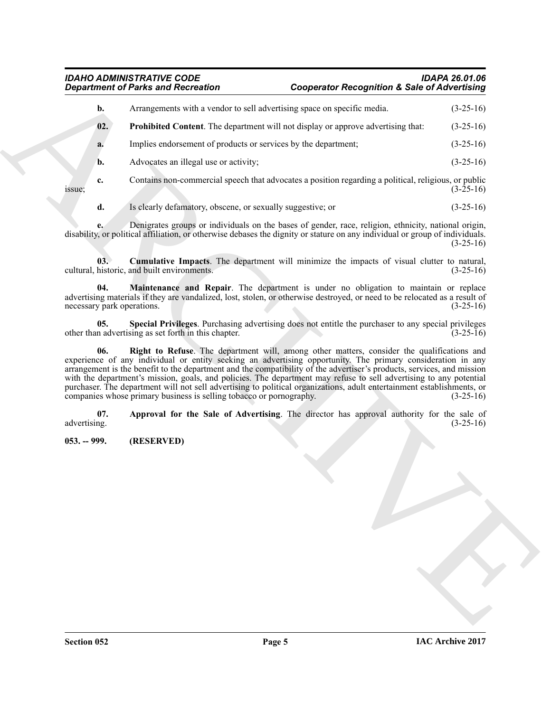### <span id="page-4-6"></span><span id="page-4-5"></span><span id="page-4-4"></span><span id="page-4-3"></span><span id="page-4-2"></span><span id="page-4-1"></span>*IDAHO ADMINISTRATIVE CODE IDAPA 26.01.06 Department of Parks and Recreation Cooperator Recognition & Sale of Advertising*

<span id="page-4-0"></span>

| <b>Department of Parks and Recreation</b> |                                                                                                                                                                                                                                                                                                                                                                                                                                                                                                                                                                                                                                                            | <b>Cooperator Recognition &amp; Sale of Advertising</b> |             |  |
|-------------------------------------------|------------------------------------------------------------------------------------------------------------------------------------------------------------------------------------------------------------------------------------------------------------------------------------------------------------------------------------------------------------------------------------------------------------------------------------------------------------------------------------------------------------------------------------------------------------------------------------------------------------------------------------------------------------|---------------------------------------------------------|-------------|--|
| b.                                        | Arrangements with a vendor to sell advertising space on specific media.                                                                                                                                                                                                                                                                                                                                                                                                                                                                                                                                                                                    |                                                         | $(3-25-16)$ |  |
| 02.                                       | <b>Prohibited Content</b> . The department will not display or approve advertising that:                                                                                                                                                                                                                                                                                                                                                                                                                                                                                                                                                                   |                                                         | $(3-25-16)$ |  |
| a.                                        | Implies endorsement of products or services by the department;                                                                                                                                                                                                                                                                                                                                                                                                                                                                                                                                                                                             |                                                         | $(3-25-16)$ |  |
| b.                                        | Advocates an illegal use or activity;                                                                                                                                                                                                                                                                                                                                                                                                                                                                                                                                                                                                                      |                                                         | $(3-25-16)$ |  |
| c.<br>issue;                              | Contains non-commercial speech that advocates a position regarding a political, religious, or public                                                                                                                                                                                                                                                                                                                                                                                                                                                                                                                                                       |                                                         | $(3-25-16)$ |  |
| d.                                        | Is clearly defamatory, obscene, or sexually suggestive; or                                                                                                                                                                                                                                                                                                                                                                                                                                                                                                                                                                                                 |                                                         | $(3-25-16)$ |  |
|                                           | Denigrates groups or individuals on the bases of gender, race, religion, ethnicity, national origin,<br>disability, or political affiliation, or otherwise debases the dignity or stature on any individual or group of individuals.                                                                                                                                                                                                                                                                                                                                                                                                                       |                                                         | $(3-25-16)$ |  |
| 03.                                       | <b>Cumulative Impacts</b> . The department will minimize the impacts of visual clutter to natural,<br>cultural, historic, and built environments.                                                                                                                                                                                                                                                                                                                                                                                                                                                                                                          |                                                         | $(3-25-16)$ |  |
| 04.<br>necessary park operations.         | Maintenance and Repair. The department is under no obligation to maintain or replace<br>advertising materials if they are vandalized, lost, stolen, or otherwise destroyed, or need to be relocated as a result of                                                                                                                                                                                                                                                                                                                                                                                                                                         |                                                         | $(3-25-16)$ |  |
| 05.                                       | Special Privileges. Purchasing advertising does not entitle the purchaser to any special privileges<br>other than advertising as set forth in this chapter.                                                                                                                                                                                                                                                                                                                                                                                                                                                                                                |                                                         | $(3-25-16)$ |  |
| 06.                                       | Right to Refuse. The department will, among other matters, consider the qualifications and<br>experience of any individual or entity seeking an advertising opportunity. The primary consideration in any<br>arrangement is the benefit to the department and the compatibility of the advertiser's products, services, and mission<br>with the department's mission, goals, and policies. The department may refuse to sell advertising to any potential<br>purchaser. The department will not sell advertising to political organizations, adult entertainment establishments, or<br>companies whose primary business is selling tobacco or pornography. |                                                         | $(3-25-16)$ |  |
| 07.<br>advertising.                       | Approval for the Sale of Advertising. The director has approval authority for the sale of                                                                                                                                                                                                                                                                                                                                                                                                                                                                                                                                                                  |                                                         | $(3-25-16)$ |  |
| $053. - 999.$                             | (RESERVED)                                                                                                                                                                                                                                                                                                                                                                                                                                                                                                                                                                                                                                                 |                                                         |             |  |
|                                           |                                                                                                                                                                                                                                                                                                                                                                                                                                                                                                                                                                                                                                                            |                                                         |             |  |
|                                           |                                                                                                                                                                                                                                                                                                                                                                                                                                                                                                                                                                                                                                                            |                                                         |             |  |
|                                           |                                                                                                                                                                                                                                                                                                                                                                                                                                                                                                                                                                                                                                                            |                                                         |             |  |
|                                           |                                                                                                                                                                                                                                                                                                                                                                                                                                                                                                                                                                                                                                                            |                                                         |             |  |
|                                           |                                                                                                                                                                                                                                                                                                                                                                                                                                                                                                                                                                                                                                                            |                                                         |             |  |
|                                           |                                                                                                                                                                                                                                                                                                                                                                                                                                                                                                                                                                                                                                                            |                                                         |             |  |
|                                           |                                                                                                                                                                                                                                                                                                                                                                                                                                                                                                                                                                                                                                                            |                                                         |             |  |